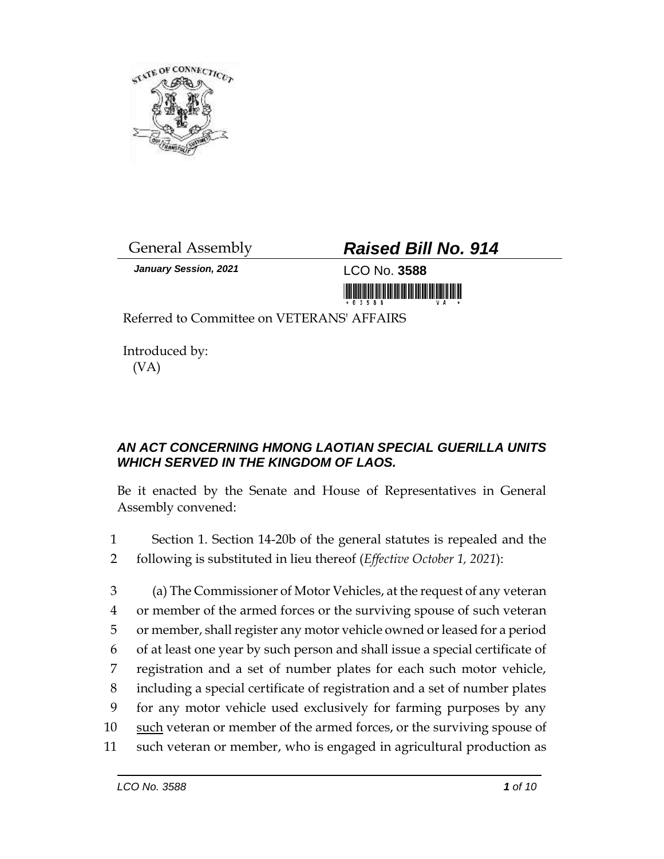

General Assembly *Raised Bill No. 914*

*January Session, 2021* LCO No. **3588** <u> Harrison (Barbara) (Barbara) (Barbara) (Barbara) (Barbara) (Barbara) (Barbara) (Barbara) (Barbara) (Barbara) (B</u>

Referred to Committee on VETERANS' AFFAIRS

Introduced by: (VA)

## *AN ACT CONCERNING HMONG LAOTIAN SPECIAL GUERILLA UNITS WHICH SERVED IN THE KINGDOM OF LAOS.*

Be it enacted by the Senate and House of Representatives in General Assembly convened:

- 1 Section 1. Section 14-20b of the general statutes is repealed and the 2 following is substituted in lieu thereof (*Effective October 1, 2021*):
- 3 (a) The Commissioner of Motor Vehicles, at the request of any veteran 4 or member of the armed forces or the surviving spouse of such veteran 5 or member, shall register any motor vehicle owned or leased for a period 6 of at least one year by such person and shall issue a special certificate of 7 registration and a set of number plates for each such motor vehicle, 8 including a special certificate of registration and a set of number plates 9 for any motor vehicle used exclusively for farming purposes by any 10 such veteran or member of the armed forces, or the surviving spouse of 11 such veteran or member, who is engaged in agricultural production as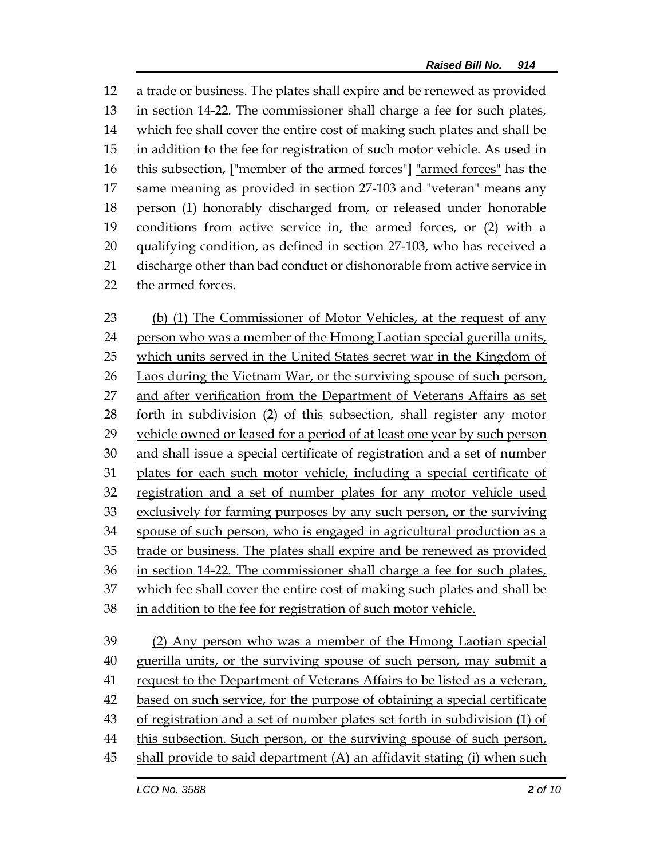a trade or business. The plates shall expire and be renewed as provided in section 14-22. The commissioner shall charge a fee for such plates, which fee shall cover the entire cost of making such plates and shall be in addition to the fee for registration of such motor vehicle. As used in this subsection, **[**"member of the armed forces"**]** "armed forces" has the same meaning as provided in section 27-103 and "veteran" means any person (1) honorably discharged from, or released under honorable conditions from active service in, the armed forces, or (2) with a qualifying condition, as defined in section 27-103, who has received a discharge other than bad conduct or dishonorable from active service in the armed forces.

 (b) (1) The Commissioner of Motor Vehicles, at the request of any person who was a member of the Hmong Laotian special guerilla units, which units served in the United States secret war in the Kingdom of Laos during the Vietnam War, or the surviving spouse of such person, and after verification from the Department of Veterans Affairs as set forth in subdivision (2) of this subsection, shall register any motor vehicle owned or leased for a period of at least one year by such person and shall issue a special certificate of registration and a set of number plates for each such motor vehicle, including a special certificate of registration and a set of number plates for any motor vehicle used exclusively for farming purposes by any such person, or the surviving spouse of such person, who is engaged in agricultural production as a trade or business. The plates shall expire and be renewed as provided in section 14-22. The commissioner shall charge a fee for such plates, which fee shall cover the entire cost of making such plates and shall be in addition to the fee for registration of such motor vehicle. (2) Any person who was a member of the Hmong Laotian special

 guerilla units, or the surviving spouse of such person, may submit a request to the Department of Veterans Affairs to be listed as a veteran, based on such service, for the purpose of obtaining a special certificate of registration and a set of number plates set forth in subdivision (1) of this subsection. Such person, or the surviving spouse of such person, shall provide to said department (A) an affidavit stating (i) when such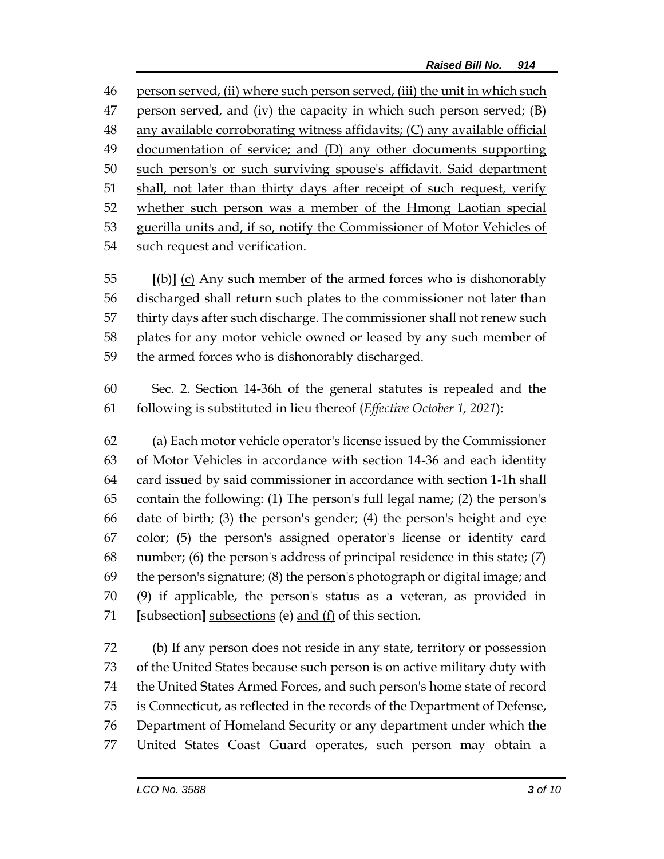person served, (ii) where such person served, (iii) the unit in which such 47 person served, and (iv) the capacity in which such person served; (B) any available corroborating witness affidavits; (C) any available official documentation of service; and (D) any other documents supporting such person's or such surviving spouse's affidavit. Said department 51 shall, not later than thirty days after receipt of such request, verify 52 whether such person was a member of the Hmong Laotian special guerilla units and, if so, notify the Commissioner of Motor Vehicles of such request and verification.

 **[**(b)**]** (c) Any such member of the armed forces who is dishonorably discharged shall return such plates to the commissioner not later than thirty days after such discharge. The commissioner shall not renew such plates for any motor vehicle owned or leased by any such member of the armed forces who is dishonorably discharged.

 Sec. 2. Section 14-36h of the general statutes is repealed and the following is substituted in lieu thereof (*Effective October 1, 2021*):

 (a) Each motor vehicle operator's license issued by the Commissioner of Motor Vehicles in accordance with section 14-36 and each identity card issued by said commissioner in accordance with section 1-1h shall contain the following: (1) The person's full legal name; (2) the person's date of birth; (3) the person's gender; (4) the person's height and eye color; (5) the person's assigned operator's license or identity card number; (6) the person's address of principal residence in this state; (7) the person's signature; (8) the person's photograph or digital image; and (9) if applicable, the person's status as a veteran, as provided in **[**subsection**]** subsections (e) and (f) of this section.

 (b) If any person does not reside in any state, territory or possession of the United States because such person is on active military duty with the United States Armed Forces, and such person's home state of record is Connecticut, as reflected in the records of the Department of Defense, Department of Homeland Security or any department under which the United States Coast Guard operates, such person may obtain a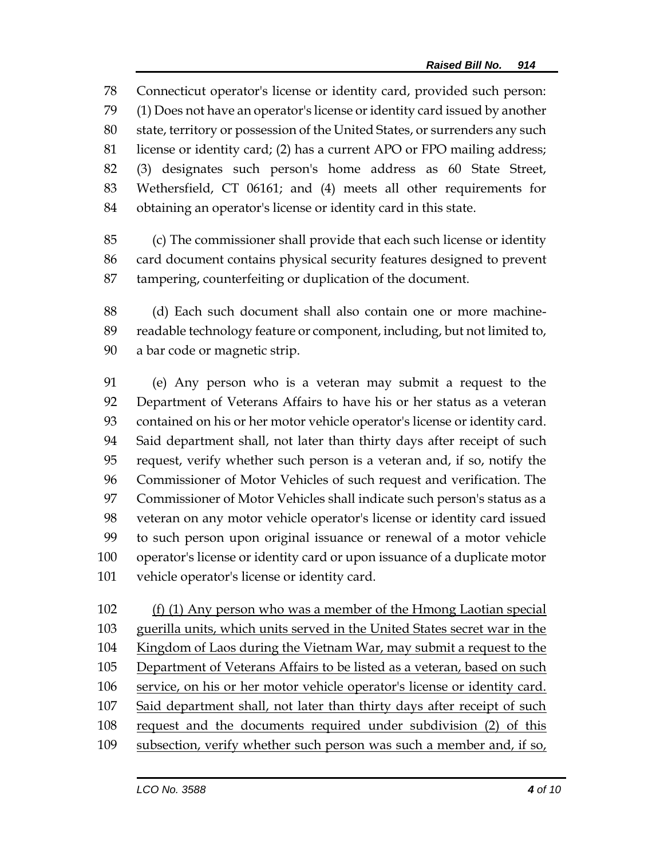Connecticut operator's license or identity card, provided such person: (1) Does not have an operator's license or identity card issued by another state, territory or possession of the United States, or surrenders any such license or identity card; (2) has a current APO or FPO mailing address; (3) designates such person's home address as 60 State Street, Wethersfield, CT 06161; and (4) meets all other requirements for obtaining an operator's license or identity card in this state.

 (c) The commissioner shall provide that each such license or identity card document contains physical security features designed to prevent tampering, counterfeiting or duplication of the document.

 (d) Each such document shall also contain one or more machine- readable technology feature or component, including, but not limited to, a bar code or magnetic strip.

 (e) Any person who is a veteran may submit a request to the Department of Veterans Affairs to have his or her status as a veteran contained on his or her motor vehicle operator's license or identity card. Said department shall, not later than thirty days after receipt of such request, verify whether such person is a veteran and, if so, notify the Commissioner of Motor Vehicles of such request and verification. The Commissioner of Motor Vehicles shall indicate such person's status as a veteran on any motor vehicle operator's license or identity card issued to such person upon original issuance or renewal of a motor vehicle operator's license or identity card or upon issuance of a duplicate motor vehicle operator's license or identity card.

 (f) (1) Any person who was a member of the Hmong Laotian special guerilla units, which units served in the United States secret war in the Kingdom of Laos during the Vietnam War, may submit a request to the Department of Veterans Affairs to be listed as a veteran, based on such service, on his or her motor vehicle operator's license or identity card. Said department shall, not later than thirty days after receipt of such request and the documents required under subdivision (2) of this 109 subsection, verify whether such person was such a member and, if so,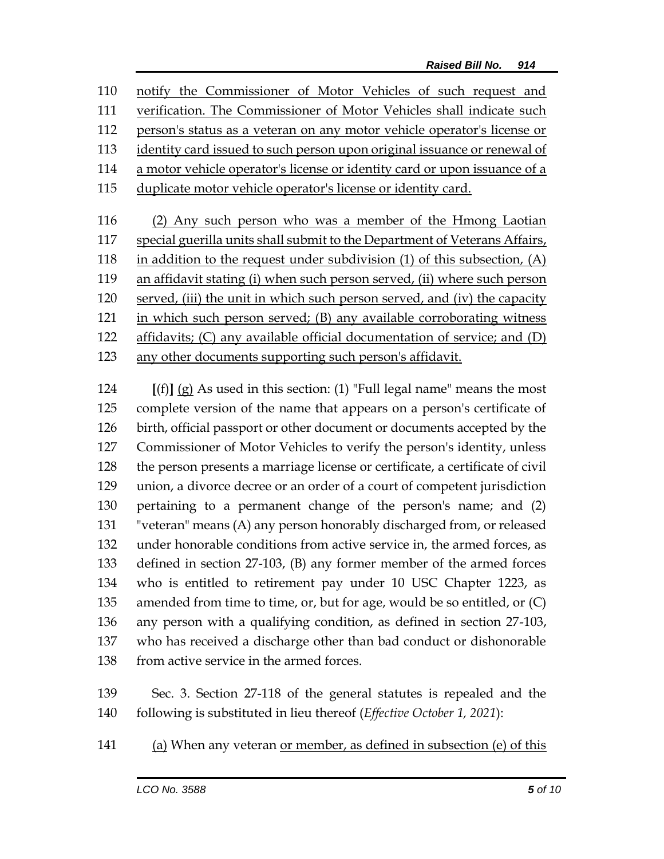notify the Commissioner of Motor Vehicles of such request and verification. The Commissioner of Motor Vehicles shall indicate such person's status as a veteran on any motor vehicle operator's license or identity card issued to such person upon original issuance or renewal of a motor vehicle operator's license or identity card or upon issuance of a duplicate motor vehicle operator's license or identity card. (2) Any such person who was a member of the Hmong Laotian

 special guerilla units shall submit to the Department of Veterans Affairs, in addition to the request under subdivision (1) of this subsection, (A) an affidavit stating (i) when such person served, (ii) where such person served, (iii) the unit in which such person served, and (iv) the capacity in which such person served; (B) any available corroborating witness affidavits; (C) any available official documentation of service; and (D) any other documents supporting such person's affidavit.

 **[**(f)**]** (g) As used in this section: (1) "Full legal name" means the most complete version of the name that appears on a person's certificate of birth, official passport or other document or documents accepted by the Commissioner of Motor Vehicles to verify the person's identity, unless the person presents a marriage license or certificate, a certificate of civil union, a divorce decree or an order of a court of competent jurisdiction pertaining to a permanent change of the person's name; and (2) "veteran" means (A) any person honorably discharged from, or released under honorable conditions from active service in, the armed forces, as defined in section 27-103, (B) any former member of the armed forces who is entitled to retirement pay under 10 USC Chapter 1223, as amended from time to time, or, but for age, would be so entitled, or (C) any person with a qualifying condition, as defined in section 27-103, who has received a discharge other than bad conduct or dishonorable 138 from active service in the armed forces.

 Sec. 3. Section 27-118 of the general statutes is repealed and the following is substituted in lieu thereof (*Effective October 1, 2021*):

(a) When any veteran or member, as defined in subsection (e) of this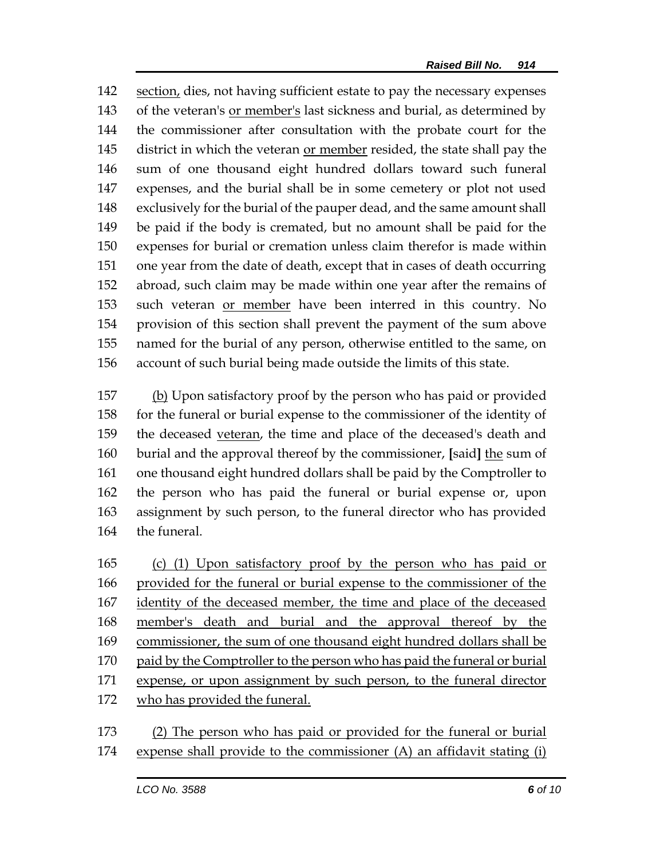section, dies, not having sufficient estate to pay the necessary expenses of the veteran's or member's last sickness and burial, as determined by the commissioner after consultation with the probate court for the district in which the veteran or member resided, the state shall pay the sum of one thousand eight hundred dollars toward such funeral expenses, and the burial shall be in some cemetery or plot not used exclusively for the burial of the pauper dead, and the same amount shall be paid if the body is cremated, but no amount shall be paid for the expenses for burial or cremation unless claim therefor is made within one year from the date of death, except that in cases of death occurring abroad, such claim may be made within one year after the remains of such veteran or member have been interred in this country. No provision of this section shall prevent the payment of the sum above named for the burial of any person, otherwise entitled to the same, on account of such burial being made outside the limits of this state.

 (b) Upon satisfactory proof by the person who has paid or provided for the funeral or burial expense to the commissioner of the identity of 159 the deceased veteran, the time and place of the deceased's death and burial and the approval thereof by the commissioner, **[**said**]** the sum of one thousand eight hundred dollars shall be paid by the Comptroller to the person who has paid the funeral or burial expense or, upon assignment by such person, to the funeral director who has provided the funeral.

 (c) (1) Upon satisfactory proof by the person who has paid or provided for the funeral or burial expense to the commissioner of the identity of the deceased member, the time and place of the deceased member's death and burial and the approval thereof by the commissioner, the sum of one thousand eight hundred dollars shall be 170 paid by the Comptroller to the person who has paid the funeral or burial expense, or upon assignment by such person, to the funeral director who has provided the funeral.

 (2) The person who has paid or provided for the funeral or burial expense shall provide to the commissioner (A) an affidavit stating (i)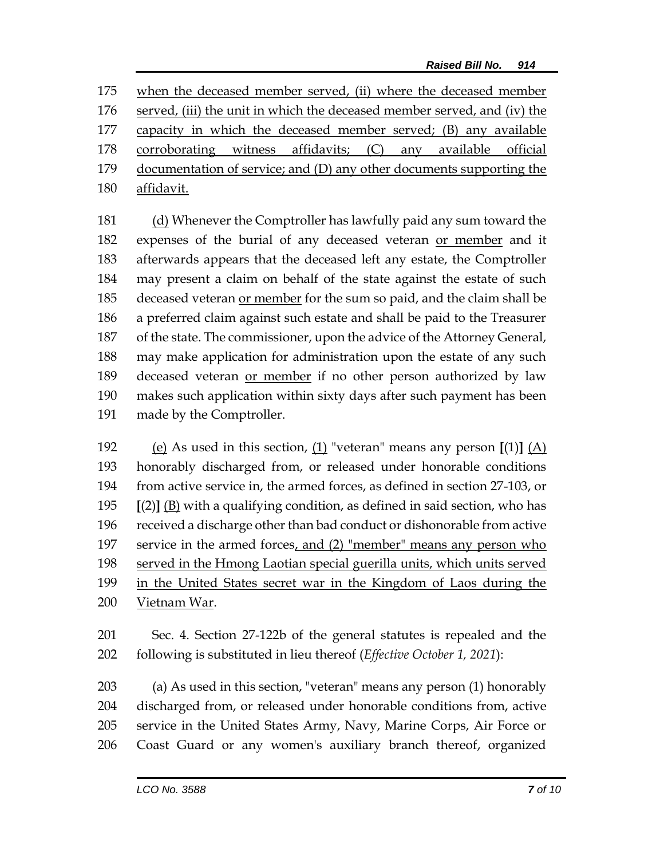when the deceased member served, (ii) where the deceased member served, (iii) the unit in which the deceased member served, and (iv) the capacity in which the deceased member served; (B) any available 178 corroborating witness affidavits; (C) any available official documentation of service; and (D) any other documents supporting the affidavit.

181 (d) Whenever the Comptroller has lawfully paid any sum toward the 182 expenses of the burial of any deceased veteran or member and it afterwards appears that the deceased left any estate, the Comptroller may present a claim on behalf of the state against the estate of such deceased veteran or member for the sum so paid, and the claim shall be a preferred claim against such estate and shall be paid to the Treasurer of the state. The commissioner, upon the advice of the Attorney General, may make application for administration upon the estate of any such deceased veteran or member if no other person authorized by law makes such application within sixty days after such payment has been made by the Comptroller.

 (e) As used in this section, (1) "veteran" means any person **[**(1)**]** (A) honorably discharged from, or released under honorable conditions from active service in, the armed forces, as defined in section 27-103, or **[**(2)**]** (B) with a qualifying condition, as defined in said section, who has received a discharge other than bad conduct or dishonorable from active service in the armed forces, and (2) "member" means any person who served in the Hmong Laotian special guerilla units, which units served in the United States secret war in the Kingdom of Laos during the Vietnam War.

 Sec. 4. Section 27-122b of the general statutes is repealed and the following is substituted in lieu thereof (*Effective October 1, 2021*):

 (a) As used in this section, "veteran" means any person (1) honorably discharged from, or released under honorable conditions from, active service in the United States Army, Navy, Marine Corps, Air Force or Coast Guard or any women's auxiliary branch thereof, organized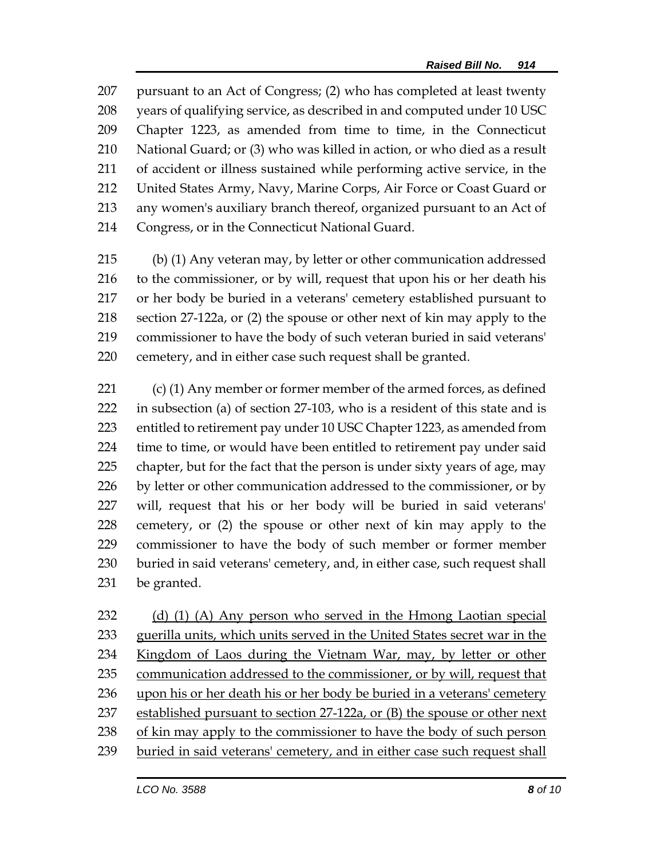pursuant to an Act of Congress; (2) who has completed at least twenty years of qualifying service, as described in and computed under 10 USC Chapter 1223, as amended from time to time, in the Connecticut National Guard; or (3) who was killed in action, or who died as a result of accident or illness sustained while performing active service, in the 212 United States Army, Navy, Marine Corps, Air Force or Coast Guard or any women's auxiliary branch thereof, organized pursuant to an Act of Congress, or in the Connecticut National Guard.

 (b) (1) Any veteran may, by letter or other communication addressed to the commissioner, or by will, request that upon his or her death his or her body be buried in a veterans' cemetery established pursuant to section 27-122a, or (2) the spouse or other next of kin may apply to the commissioner to have the body of such veteran buried in said veterans' cemetery, and in either case such request shall be granted.

 (c) (1) Any member or former member of the armed forces, as defined in subsection (a) of section 27-103, who is a resident of this state and is entitled to retirement pay under 10 USC Chapter 1223, as amended from time to time, or would have been entitled to retirement pay under said chapter, but for the fact that the person is under sixty years of age, may 226 by letter or other communication addressed to the commissioner, or by will, request that his or her body will be buried in said veterans' cemetery, or (2) the spouse or other next of kin may apply to the commissioner to have the body of such member or former member buried in said veterans' cemetery, and, in either case, such request shall be granted.

 (d) (1) (A) Any person who served in the Hmong Laotian special guerilla units, which units served in the United States secret war in the Kingdom of Laos during the Vietnam War, may, by letter or other 235 communication addressed to the commissioner, or by will, request that 236 upon his or her death his or her body be buried in a veterans' cemetery established pursuant to section 27-122a, or (B) the spouse or other next of kin may apply to the commissioner to have the body of such person buried in said veterans' cemetery, and in either case such request shall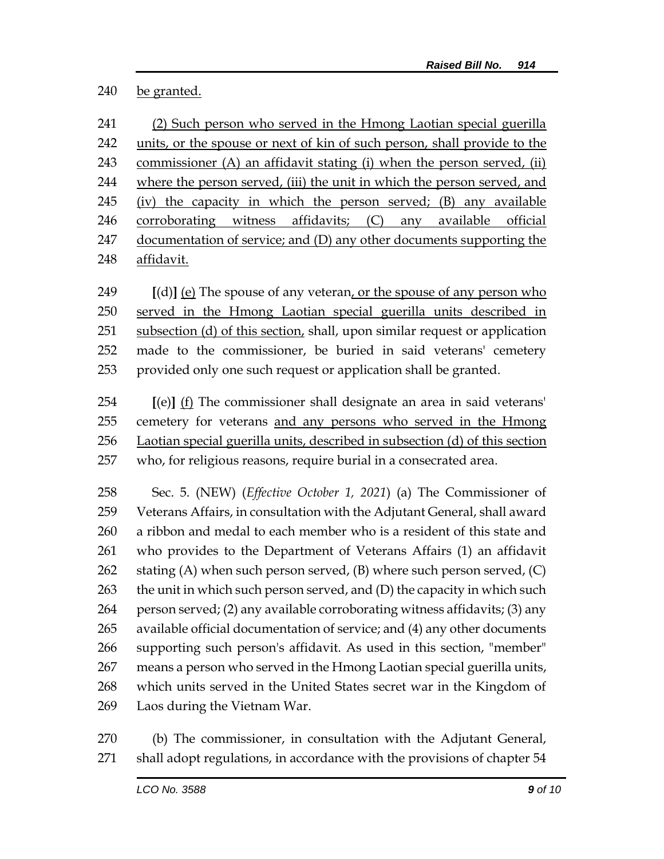be granted.

 (2) Such person who served in the Hmong Laotian special guerilla units, or the spouse or next of kin of such person, shall provide to the commissioner (A) an affidavit stating (i) when the person served, (ii) where the person served, (iii) the unit in which the person served, and (iv) the capacity in which the person served; (B) any available corroborating witness affidavits; (C) any available official 247 documentation of service; and (D) any other documents supporting the affidavit.

 **[**(d)**]** (e) The spouse of any veteran, or the spouse of any person who served in the Hmong Laotian special guerilla units described in subsection (d) of this section, shall, upon similar request or application made to the commissioner, be buried in said veterans' cemetery provided only one such request or application shall be granted.

 **[**(e)**]** (f) The commissioner shall designate an area in said veterans' 255 cemetery for veterans and any persons who served in the Hmong Laotian special guerilla units, described in subsection (d) of this section who, for religious reasons, require burial in a consecrated area.

 Sec. 5. (NEW) (*Effective October 1, 2021*) (a) The Commissioner of Veterans Affairs, in consultation with the Adjutant General, shall award a ribbon and medal to each member who is a resident of this state and who provides to the Department of Veterans Affairs (1) an affidavit 262 stating  $(A)$  when such person served,  $(B)$  where such person served,  $(C)$ 263 the unit in which such person served, and (D) the capacity in which such person served; (2) any available corroborating witness affidavits; (3) any available official documentation of service; and (4) any other documents supporting such person's affidavit. As used in this section, "member" means a person who served in the Hmong Laotian special guerilla units, which units served in the United States secret war in the Kingdom of Laos during the Vietnam War.

 (b) The commissioner, in consultation with the Adjutant General, shall adopt regulations, in accordance with the provisions of chapter 54